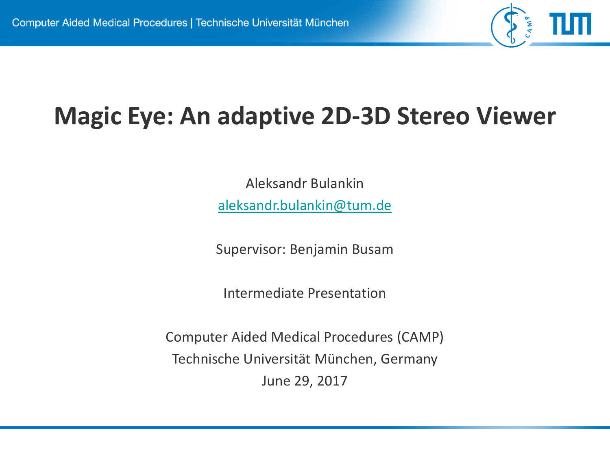

# **Magic Eye: An adaptive 2D-3D Stereo Viewer**

Aleksandr Bulankin [aleksandr.bulankin@tum.de](mailto:aleksandr.bulankin@in.tum.de)

Supervisor: Benjamin Busam

Intermediate Presentation

Computer Aided Medical Procedures (CAMP) Technische Universität München, Germany June 29, 2017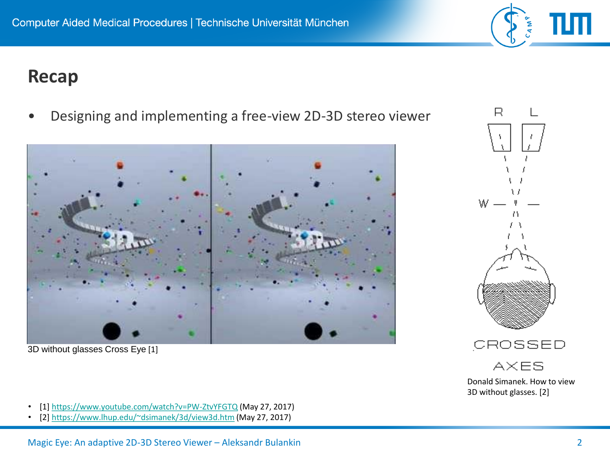#### **Recap**

• Designing and implementing a free-view 2D-3D stereo viewer



3D without glasses Cross Eye [1]

- [1]<https://www.youtube.com/watch?v=PW-ZtvYFGTQ> (May 27, 2017)
- [2]<https://www.lhup.edu/~dsimanek/3d/view3d.htm> (May 27, 2017)



R

W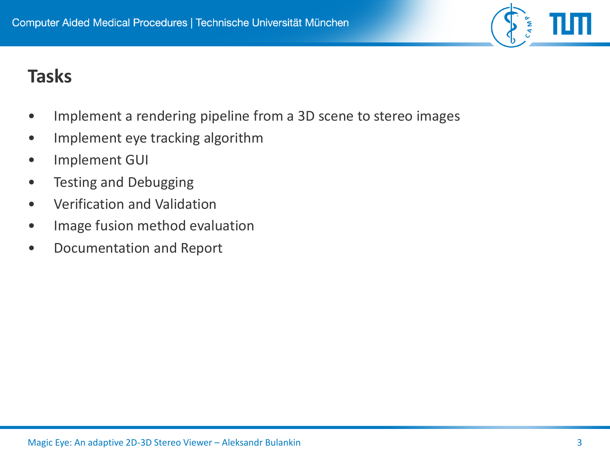#### **Tasks**

- Implement a rendering pipeline from a 3D scene to stereo images
- Implement eye tracking algorithm
- Implement GUI
- Testing and Debugging
- Verification and Validation
- Image fusion method evaluation
- Documentation and Report

CAMP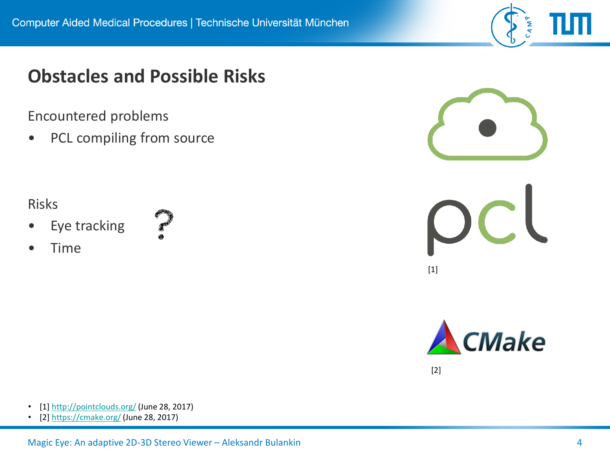#### **Obstacles and Possible Risks**

Encountered problems

• PCL compiling from source

#### Risks

- Eye tracking
- **CONTROL**

• Time



CAMP



[2]

- [1]<http://pointclouds.org/> (June 28, 2017)
- [2]<https://cmake.org/> (June 28, 2017)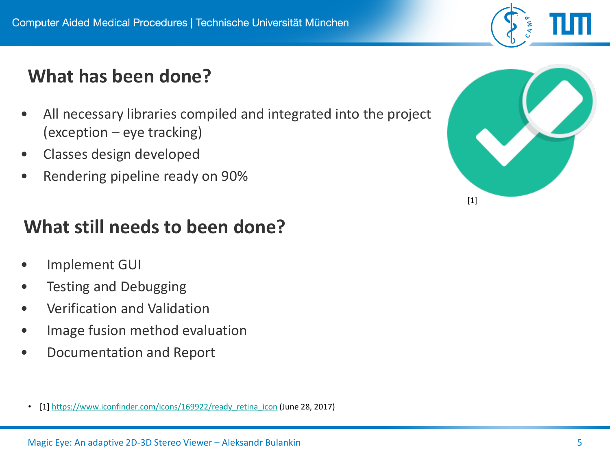# **What has been done?**

- All necessary libraries compiled and integrated into the project (exception – eye tracking)
- Classes design developed
- Rendering pipeline ready on 90%

# **What still needs to been done?**

- Implement GUI
- Testing and Debugging
- Verification and Validation
- Image fusion method evaluation
- Documentation and Report
	- [1] [https://www.iconfinder.com/icons/169922/ready\\_retina\\_icon](https://www.iconfinder.com/icons/169922/ready_retina_icon) (June 28, 2017)



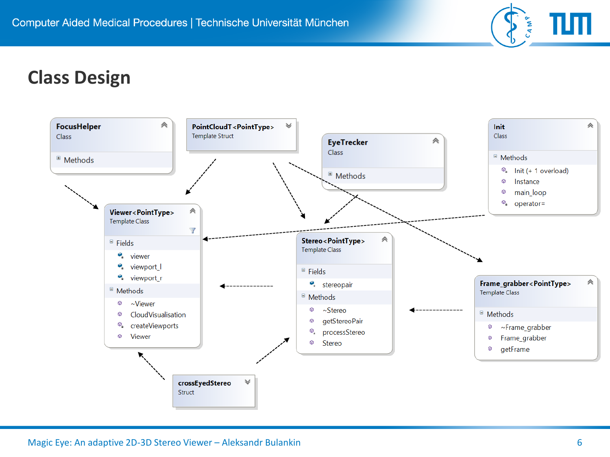

# **Class Design**

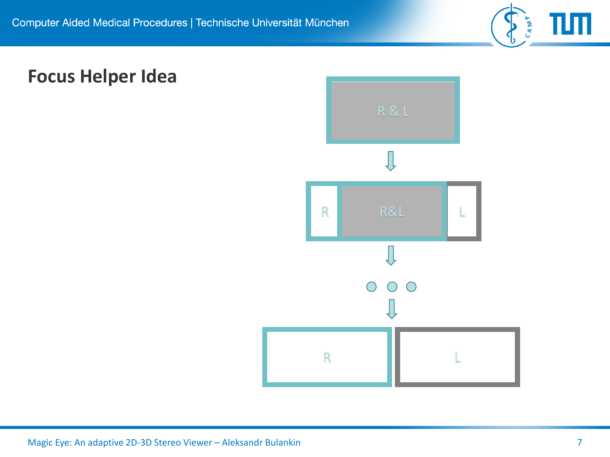

# **Focus Helper Idea**

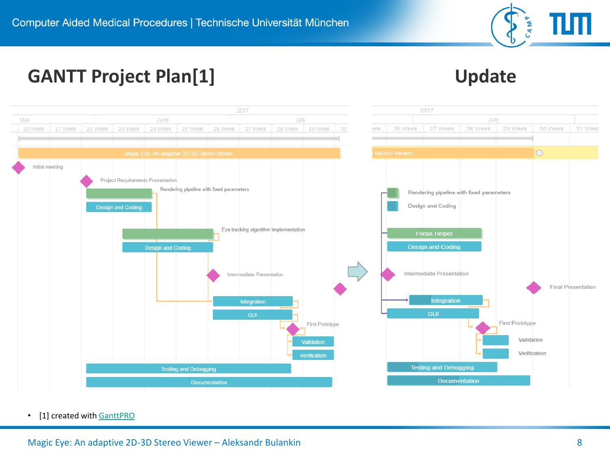

# GANTT Project Plan[1] **Update**



• [1] created with [GanttPRO](https://app.ganttpro.com/)